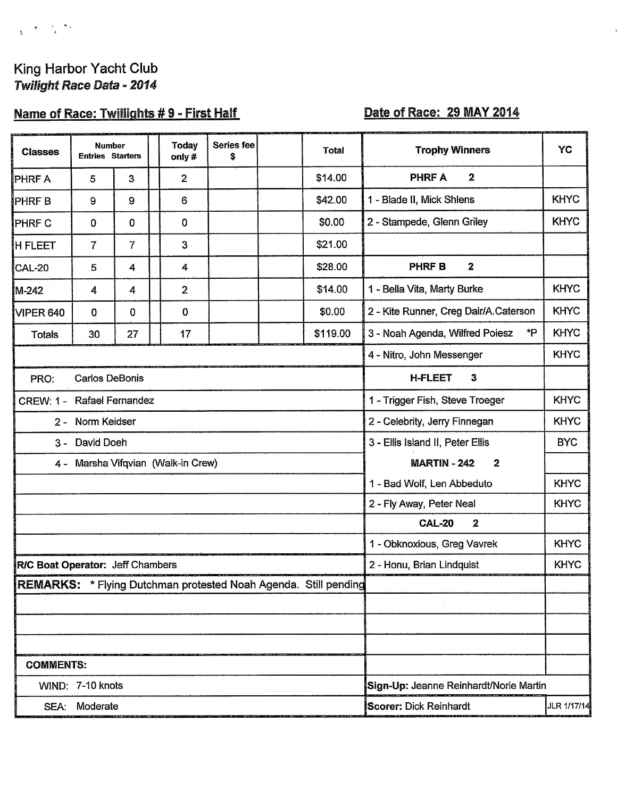# King Harbor Yacht Club Twilight Race Data - 2014

# Name of Race: Twillights #9 - First Half

# Date of Race: 29 MAY 2014

| <b>Classes</b>   | <b>Number</b><br><b>Entries Starters</b> |                                                               |  | <b>Today</b><br>only# | <b>Series fee</b><br>\$                |                                   | <b>Total</b>                                                    | <b>Trophy Winners</b>                    | YC          |
|------------------|------------------------------------------|---------------------------------------------------------------|--|-----------------------|----------------------------------------|-----------------------------------|-----------------------------------------------------------------|------------------------------------------|-------------|
| PHRF A           | 5                                        | 3                                                             |  | $\overline{2}$        |                                        |                                   | \$14.00                                                         | $\overline{\mathbf{2}}$<br><b>PHRF A</b> |             |
| PHRF B           | 9                                        | 9                                                             |  | 6                     |                                        |                                   | \$42.00                                                         | 1 - Blade II, Mick Shlens                | <b>KHYC</b> |
| PHRF C           | 0                                        | 0                                                             |  | 0                     |                                        |                                   | \$0.00                                                          | 2 - Stampede, Glenn Griley               | <b>KHYC</b> |
| <b>H FLEET</b>   | $\overline{7}$                           | $\overline{7}$                                                |  | 3                     |                                        |                                   | \$21.00                                                         |                                          |             |
| CAL-20           | 5                                        | 4                                                             |  | 4                     |                                        |                                   | \$28.00                                                         | $\mathbf{2}$<br><b>PHRFB</b>             |             |
| M-242            | 4                                        | $\overline{4}$                                                |  | $\overline{2}$        |                                        |                                   | \$14.00                                                         | 1 - Bella Vita, Marty Burke              | <b>KHYC</b> |
| VIPER 640        | 0                                        | 0                                                             |  | 0                     |                                        |                                   | \$0.00                                                          | 2 - Kite Runner, Creg Dair/A.Caterson    | <b>KHYC</b> |
| <b>Totals</b>    | 30                                       | 27                                                            |  | 17                    |                                        |                                   | \$119.00                                                        | 3 - Noah Agenda, Wilfred Poiesz<br>*P    | <b>KHYC</b> |
|                  |                                          |                                                               |  |                       |                                        |                                   |                                                                 | 4 - Nitro, John Messenger                | <b>KHYC</b> |
| PRO:             | <b>Carlos DeBonis</b>                    |                                                               |  |                       |                                        |                                   |                                                                 | <b>H-FLEET</b><br>3                      |             |
|                  |                                          | CREW: 1 - Rafael Fernandez<br>1 - Trigger Fish, Steve Troeger |  |                       |                                        | <b>KHYC</b>                       |                                                                 |                                          |             |
|                  | 2 - Norm Keidser                         | 2 - Celebrity, Jerry Finnegan                                 |  |                       |                                        |                                   | <b>KHYC</b>                                                     |                                          |             |
| $3 -$            | David Doeh                               |                                                               |  |                       |                                        | 3 - Ellis Island II, Peter Ellis  | <b>BYC</b>                                                      |                                          |             |
|                  | 4 - Marsha Vifqvian (Walk-in Crew)       |                                                               |  |                       | <b>MARTIN - 242</b><br>$\mathbf{2}$    |                                   |                                                                 |                                          |             |
|                  |                                          |                                                               |  |                       | 1 - Bad Wolf, Len Abbeduto             | <b>KHYC</b>                       |                                                                 |                                          |             |
|                  |                                          |                                                               |  |                       |                                        | 2 - Fly Away, Peter Neal          | <b>KHYC</b>                                                     |                                          |             |
|                  |                                          |                                                               |  |                       |                                        | <b>CAL-20</b><br>$\boldsymbol{2}$ |                                                                 |                                          |             |
|                  |                                          |                                                               |  |                       |                                        | 1 - Obknoxious, Greg Vavrek       | <b>KHYC</b>                                                     |                                          |             |
|                  | R/C Boat Operator: Jeff Chambers         |                                                               |  |                       |                                        | 2 - Honu, Brian Lindquist         | <b>KHYC</b>                                                     |                                          |             |
|                  |                                          |                                                               |  |                       |                                        |                                   | REMARKS: * Flying Dutchman protested Noah Agenda. Still pending |                                          |             |
|                  |                                          |                                                               |  |                       |                                        |                                   |                                                                 |                                          |             |
|                  |                                          |                                                               |  |                       |                                        |                                   |                                                                 |                                          |             |
|                  |                                          |                                                               |  |                       |                                        |                                   |                                                                 |                                          |             |
| <b>COMMENTS:</b> |                                          |                                                               |  |                       |                                        |                                   |                                                                 |                                          |             |
| WIND: 7-10 knots |                                          |                                                               |  |                       | Sign-Up: Jeanne Reinhardt/Norie Martin |                                   |                                                                 |                                          |             |
| SEA: Moderate    |                                          |                                                               |  |                       | JLR 1/17/14<br>Scorer: Dick Reinhardt  |                                   |                                                                 |                                          |             |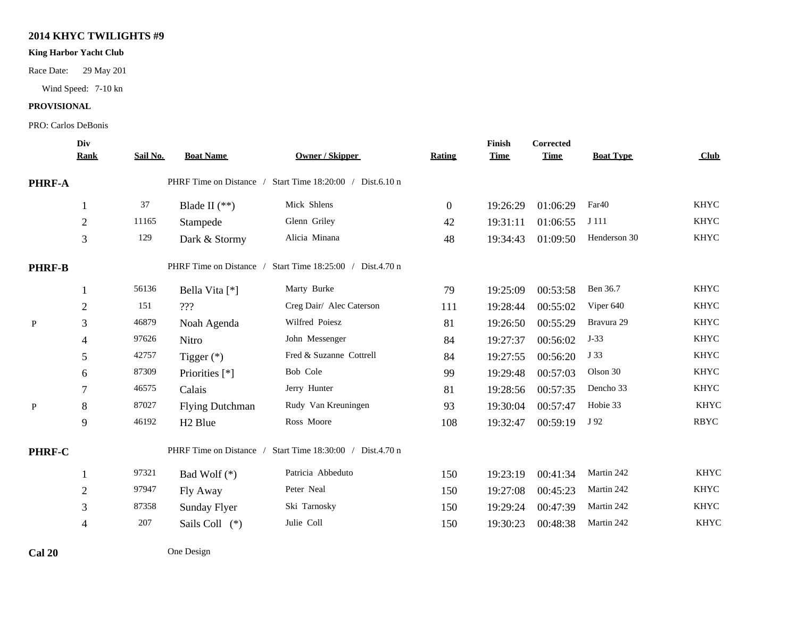## **2014 KHYC TWILIGHTS #9**

### **King Harbor Yacht Club**

Race Date: 29 May 201

Wind Speed: 7-10 kn

### **PROVISIONAL**

#### PRO: Carlos DeBonis

|               | Div            |          |                         |                                   |                | Finish      | Corrected   |                   |             |
|---------------|----------------|----------|-------------------------|-----------------------------------|----------------|-------------|-------------|-------------------|-------------|
|               | <b>Rank</b>    | Sail No. | <b>Boat Name</b>        | <b>Owner / Skipper</b>            | <b>Rating</b>  | <b>Time</b> | <b>Time</b> | <b>Boat Type</b>  | Club        |
| PHRF-A        |                |          | PHRF Time on Distance / | Start Time 18:20:00 / Dist.6.10 n |                |             |             |                   |             |
|               | 1              | 37       | Blade II $(**)$         | Mick Shlens                       | $\overline{0}$ | 19:26:29    | 01:06:29    | Far <sub>40</sub> | <b>KHYC</b> |
|               | $\overline{2}$ | 11165    | Stampede                | Glenn Griley                      | 42             | 19:31:11    | 01:06:55    | J 111             | <b>KHYC</b> |
|               | 3              | 129      | Dark & Stormy           | Alicia Minana                     | 48             | 19:34:43    | 01:09:50    | Henderson 30      | <b>KHYC</b> |
| <b>PHRF-B</b> |                |          | PHRF Time on Distance / | Start Time 18:25:00 / Dist.4.70 n |                |             |             |                   |             |
|               | 1              | 56136    | Bella Vita [*]          | Marty Burke                       | 79             | 19:25:09    | 00:53:58    | Ben 36.7          | <b>KHYC</b> |
|               | $\mathbf{2}$   | 151      | ???                     | Creg Dair/ Alec Caterson          | 111            | 19:28:44    | 00:55:02    | Viper 640         | <b>KHYC</b> |
| $\, {\bf P}$  | 3              | 46879    | Noah Agenda             | Wilfred Poiesz                    | 81             | 19:26:50    | 00:55:29    | Bravura 29        | <b>KHYC</b> |
|               | $\overline{4}$ | 97626    | Nitro                   | John Messenger                    | 84             | 19:27:37    | 00:56:02    | $J-33$            | <b>KHYC</b> |
|               | 5              | 42757    | Tigger $(*)$            | Fred & Suzanne Cottrell           | 84             | 19:27:55    | 00:56:20    | J 33              | <b>KHYC</b> |
|               | 6              | 87309    | Priorities [*]          | Bob Cole                          | 99             | 19:29:48    | 00:57:03    | Olson 30          | <b>KHYC</b> |
|               | 7              | 46575    | Calais                  | Jerry Hunter                      | 81             | 19:28:56    | 00:57:35    | Dencho 33         | <b>KHYC</b> |
| $\mathbf{P}$  | $8\,$          | 87027    | <b>Flying Dutchman</b>  | Rudy Van Kreuningen               | 93             | 19:30:04    | 00:57:47    | Hobie 33          | <b>KHYC</b> |
|               | 9              | 46192    | H <sub>2</sub> Blue     | Ross Moore                        | 108            | 19:32:47    | 00:59:19    | J 92              | <b>RBYC</b> |
| PHRF-C        |                |          | PHRF Time on Distance / | Start Time 18:30:00 / Dist.4.70 n |                |             |             |                   |             |
|               | 1              | 97321    | Bad Wolf $(*)$          | Patricia Abbeduto                 | 150            | 19:23:19    | 00:41:34    | Martin 242        | <b>KHYC</b> |
|               | $\overline{c}$ | 97947    | Fly Away                | Peter Neal                        | 150            | 19:27:08    | 00:45:23    | Martin 242        | <b>KHYC</b> |
|               | 3              | 87358    | Sunday Flyer            | Ski Tarnosky                      | 150            | 19:29:24    | 00:47:39    | Martin 242        | <b>KHYC</b> |
|               | $\overline{4}$ | $207\,$  | Sails Coll (*)          | Julie Coll                        | 150            | 19:30:23    | 00:48:38    | Martin 242        | KHYC        |
|               |                |          |                         |                                   |                |             |             |                   |             |